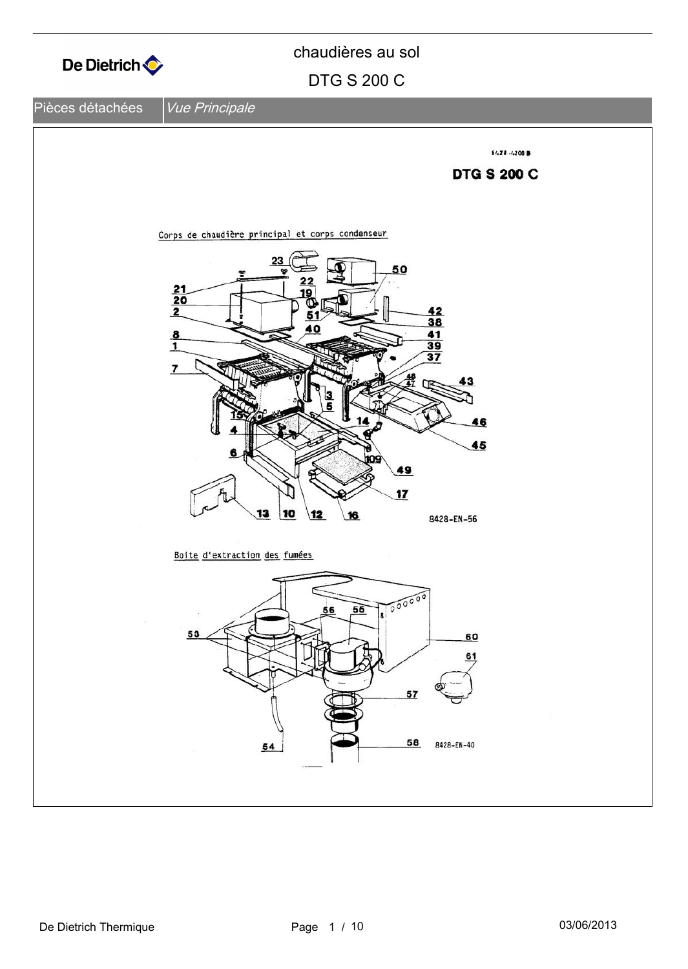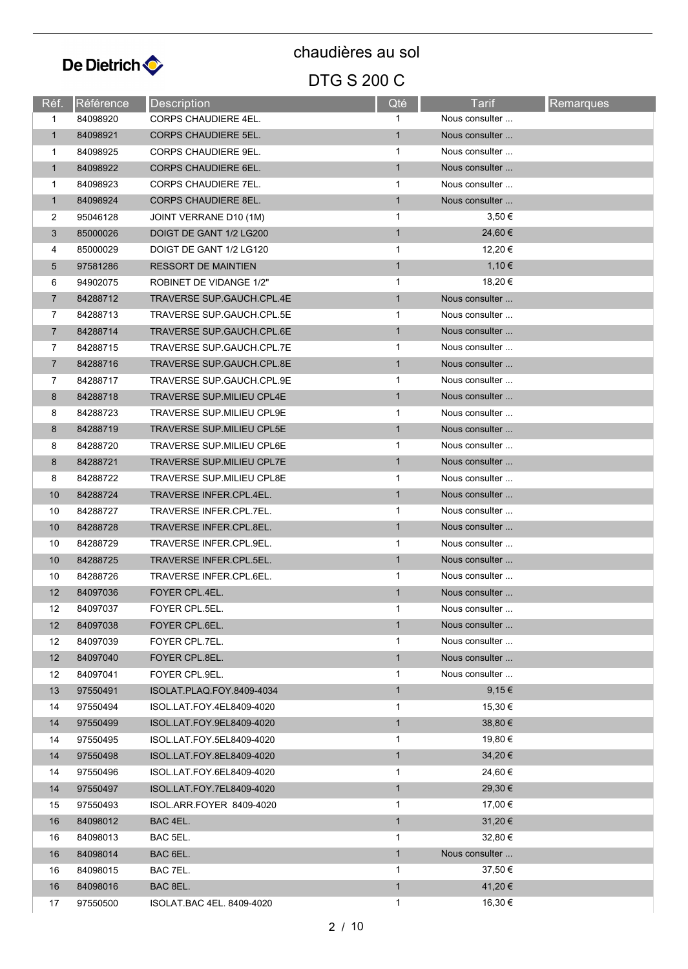

DTG S 200 C chaudières au sol

#### **Réf.** Référence Description **Communication** Qté **Tarif** Remarques 1 84098920 CORPS CHAUDIERE 4EL. 1 1 Nous consulter ... 1 84098921 CORPS CHAUDIERE 5EL. 1 1 Nous consulter ... 1 84098925 CORPS CHAUDIERE 9EL. 1 1 Nous consulter ... 1 84098922 CORPS CHAUDIERE 6EL. 1 1 Nous consulter ... 1 84098923 CORPS CHAUDIFRE 7FL. 1 Nous consulter ... 1 84098924 CORPS CHAUDIERE 8EL. 1 1 Nous consulter ... 2 95046128 JOINT VERRANE D10 (1M) 1 3,50 €  $3$  85000026 DOIGT DE GANT 1/2 LG200 1 24,60 € 4 85000029 DOIGT DE GANT 1/2 LG120 1 12,20 €  $5$  97581286 RESSORT DE MAINTIEN 1,10  $\epsilon$ 6 94902075 ROBINET DE VIDANGE 1/2" 1 1 18,20 € 7 84288712 TRAVERSE SUP.GAUCH.CPL.4E 1 Nous consulter ... 7 84288713 TRAVERSE SUP GAUCH CPL 5F 1 Nous consulter ... 7 84288714 TRAVERSE SUP.GAUCH.CPL.6E 1 Nous consulter ... 7 84288715 TRAVERSE SUP.GAUCH.CPL.7E 1 1 Nous consulter ... 7 84288716 TRAVERSE SUP.GAUCH.CPL.8E 1 1 Nous consulter ... 7 84288717 TRAVERSE SUP.GAUCH.CPL.9E 1 1 Nous consulter ... 8 84288718 TRAVERSE SUP.MILIEU CPL4E 1 1 Nous consulter ... 8 84288723 TRAVERSE SUP.MILIEU CPL9E 1 1 Nous consulter ... 8 84288719 TRAVERSE SUP.MILIEU CPL5E 1 1 Nous consulter ... 8 84288720 TRAVERSE SUP.MILIEU CPL6E 1 1 Nous consulter ... 8 84288721 TRAVERSE SUP.MILIEU CPL7E 1 1 Nous consulter ... 8 84288722 TRAVERSE SUP.MILIEU CPL8E 1 Nous consulter ... 10 84288724 TRAVERSE INFER.CPL.4EL. 1 1 Nous consulter ... 10 84288727 TRAVERSE INFER.CPL.7EL. 1 1 Nous consulter ... 10 84288728 TRAVERSE INFER.CPL.8EL. 1 1 Nous consulter ... 10 84288729 TRAVERSE INFER.CPL.9EL. 1 1 Nous consulter ... 10 84288725 TRAVERSE INFER.CPL.5EL. 1 Nous consulter ... 10 84288726 TRAVERSE INFER.CPL.6EL. 1 1 Nous consulter ... 12 84097036 FOYER CPL 4EL. 1 Nous consulter ... 12 84097037 FOYER CPL.5EL. 1 1 Nous consulter 12 84097038 FOYER CPL.6EL. 1 Nous consulter ... 12 84097039 FOYER CPL 7FL **12 CONSULTER 12 CONSULTER 1** Nous consulter ... 12 84097040 FOYER CPL.8EL. 1 Nous consulter ... 12 84097041 FOYER CPL.9EL. 1 1 Nous consulter ... 13 97550491 ISOLAT.PLAQ.FOY.8409-4034 1 9,15 € 14 97550494 ISOL.LAT.FOY.4EL8409-4020 1 15,30 € 14 97550499 ISOL.LAT.FOY.9EL8409-4020 1 38,80 € 14 97550495 ISOL.LAT.FOY.5EL8409-4020 1 1 19,80 € 14 97550498 ISOL.LAT.FOY.8EL8409-4020 1 34,20 € 14 97550496 ISOL.LAT.FOY.6EL8409-4020 1 1 24,60 € 14 97550497 ISOL.LAT.FOY.7EL8409-4020 1 29,30 € 15 97550493 ISOL.ARR.FOYER 8409-4020 1 1 17,00 € 16 84098012 BAC 4EL. 1 31,20 € 16 84098013 BAC 5EL. 1 32,80 € 16 84098014 BAC 6EL. 1 Nous consulter ... 16 84098015 BAC 7EL. 1 37,50 € 16 84098016 BAC 8EL. 1 41,20 € 17 97550500 ISOLAT.BAC 4EL. 8409-4020 1 16.30 €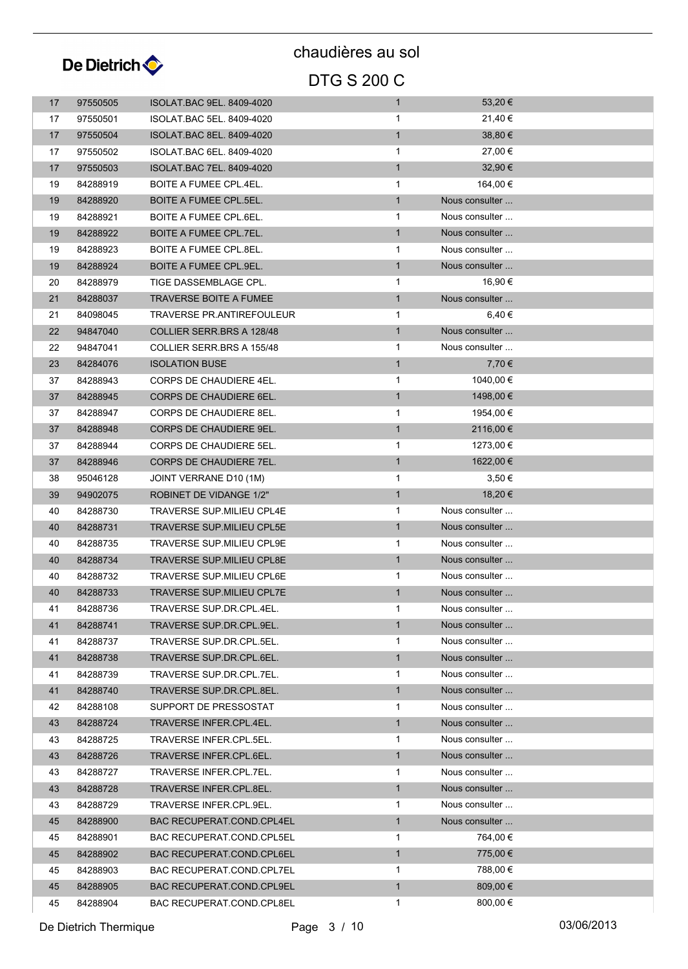

### DTG S 200 C chaudières au sol

| 17 | 97550505 | <b>ISOLAT BAC 9EL. 8409-4020</b> | $\mathbf{1}$ | 53,20 €        |  |
|----|----------|----------------------------------|--------------|----------------|--|
| 17 | 97550501 | ISOLAT.BAC 5EL. 8409-4020        | $\mathbf 1$  | 21,40 €        |  |
| 17 | 97550504 | ISOLAT.BAC 8EL. 8409-4020        | $\mathbf{1}$ | 38,80 €        |  |
| 17 | 97550502 | ISOLAT.BAC 6EL. 8409-4020        | $\mathbf{1}$ | 27,00 €        |  |
| 17 | 97550503 | ISOLAT.BAC 7EL. 8409-4020        | $\mathbf{1}$ | $32,90 \in$    |  |
|    | 84288919 | BOITE A FUMEE CPL.4EL.           | $\mathbf 1$  | 164,00 €       |  |
| 19 |          |                                  | $\mathbf{1}$ | Nous consulter |  |
| 19 | 84288920 | <b>BOITE A FUMEE CPL.5EL.</b>    |              | Nous consulter |  |
| 19 | 84288921 | BOITE A FUMEE CPL.6EL.           | 1            | Nous consulter |  |
| 19 | 84288922 | BOITE A FUMEE CPL.7EL.           | $\mathbf{1}$ |                |  |
| 19 | 84288923 | <b>BOITE A FUMEE CPL.8EL.</b>    | 1            | Nous consulter |  |
| 19 | 84288924 | BOITE A FUMEE CPL.9EL.           | $\mathbf{1}$ | Nous consulter |  |
| 20 | 84288979 | TIGE DASSEMBLAGE CPL.            | $\mathbf{1}$ | 16,90 €        |  |
| 21 | 84288037 | TRAVERSE BOITE A FUMEE           | $\mathbf{1}$ | Nous consulter |  |
| 21 | 84098045 | TRAVERSE PR.ANTIREFOULEUR        | $\mathbf 1$  | 6,40 €         |  |
| 22 | 94847040 | COLLIER SERR.BRS A 128/48        | $\mathbf{1}$ | Nous consulter |  |
| 22 | 94847041 | COLLIER SERR.BRS A 155/48        | 1            | Nous consulter |  |
| 23 | 84284076 | <b>ISOLATION BUSE</b>            | $\mathbf{1}$ | 7,70 €         |  |
| 37 | 84288943 | CORPS DE CHAUDIERE 4EL.          | 1            | 1040,00 €      |  |
| 37 | 84288945 | CORPS DE CHAUDIERE 6EL.          | $\mathbf{1}$ | 1498,00 €      |  |
| 37 | 84288947 | CORPS DE CHAUDIERE 8EL.          | $\mathbf{1}$ | 1954,00 €      |  |
| 37 | 84288948 | <b>CORPS DE CHAUDIERE 9EL.</b>   | $\mathbf{1}$ | 2116,00 €      |  |
| 37 | 84288944 | CORPS DE CHAUDIERE 5EL.          | 1            | 1273,00 €      |  |
| 37 | 84288946 | CORPS DE CHAUDIERE 7EL.          | $\mathbf{1}$ | 1622,00 €      |  |
| 38 | 95046128 | JOINT VERRANE D10 (1M)           | $\mathbf 1$  | 3,50€          |  |
| 39 | 94902075 | <b>ROBINET DE VIDANGE 1/2"</b>   | $\mathbf{1}$ | 18,20 €        |  |
| 40 | 84288730 | TRAVERSE SUP.MILIEU CPL4E        | $\mathbf{1}$ | Nous consulter |  |
| 40 | 84288731 | <b>TRAVERSE SUP MILIEU CPL5E</b> | $\mathbf{1}$ | Nous consulter |  |
| 40 | 84288735 | TRAVERSE SUP.MILIEU CPL9E        | 1            | Nous consulter |  |
| 40 | 84288734 | TRAVERSE SUP.MILIEU CPL8E        | $\mathbf{1}$ | Nous consulter |  |
| 40 | 84288732 | TRAVERSE SUP.MILIEU CPL6E        | 1            | Nous consulter |  |
| 40 | 84288733 | <b>TRAVERSE SUP MILIEU CPL7E</b> | $\mathbf{1}$ | Nous consulter |  |
| 41 | 84288736 | TRAVERSE SUP.DR.CPL.4EL.         |              | Nous consulter |  |
| 41 | 84288741 | TRAVERSE SUP.DR.CPL.9EL.         | $\mathbf{1}$ | Nous consulter |  |
| 41 | 84288737 | TRAVERSE SUP.DR.CPL.5EL.         | $\mathbf{1}$ | Nous consulter |  |
| 41 | 84288738 | TRAVERSE SUP.DR.CPL.6EL.         | $\mathbf{1}$ | Nous consulter |  |
| 41 | 84288739 | TRAVERSE SUP.DR.CPL.7EL.         | 1            | Nous consulter |  |
| 41 | 84288740 | TRAVERSE SUP.DR.CPL.8EL.         | $\mathbf{1}$ | Nous consulter |  |
| 42 | 84288108 | SUPPORT DE PRESSOSTAT            | $\mathbf 1$  | Nous consulter |  |
| 43 | 84288724 | TRAVERSE INFER.CPL.4EL.          | $\mathbf{1}$ | Nous consulter |  |
| 43 | 84288725 | TRAVERSE INFER.CPL.5EL.          | 1            | Nous consulter |  |
| 43 | 84288726 | TRAVERSE INFER.CPL.6EL.          | $\mathbf{1}$ | Nous consulter |  |
| 43 | 84288727 | TRAVERSE INFER.CPL.7EL.          | $\mathbf 1$  | Nous consulter |  |
| 43 | 84288728 | TRAVERSE INFER.CPL.8EL.          | $\mathbf{1}$ | Nous consulter |  |
| 43 | 84288729 | TRAVERSE INFER.CPL.9EL.          | $\mathbf 1$  | Nous consulter |  |
| 45 | 84288900 | BAC RECUPERAT.COND.CPL4EL        | $\mathbf{1}$ | Nous consulter |  |
| 45 | 84288901 | <b>BAC RECUPERAT COND CPL5EL</b> | $\mathbf 1$  | 764,00 €       |  |
| 45 | 84288902 | <b>BAC RECUPERAT.COND.CPL6EL</b> | $\mathbf{1}$ | 775,00 €       |  |
| 45 | 84288903 | BAC RECUPERAT.COND.CPL7EL        | $\mathbf{1}$ | 788,00 €       |  |
| 45 | 84288905 | BAC RECUPERAT.COND.CPL9EL        | $\mathbf{1}$ | 809,00 €       |  |
| 45 | 84288904 | BAC RECUPERAT COND CPL8EL        | 1            | 800,00 €       |  |
|    |          |                                  |              |                |  |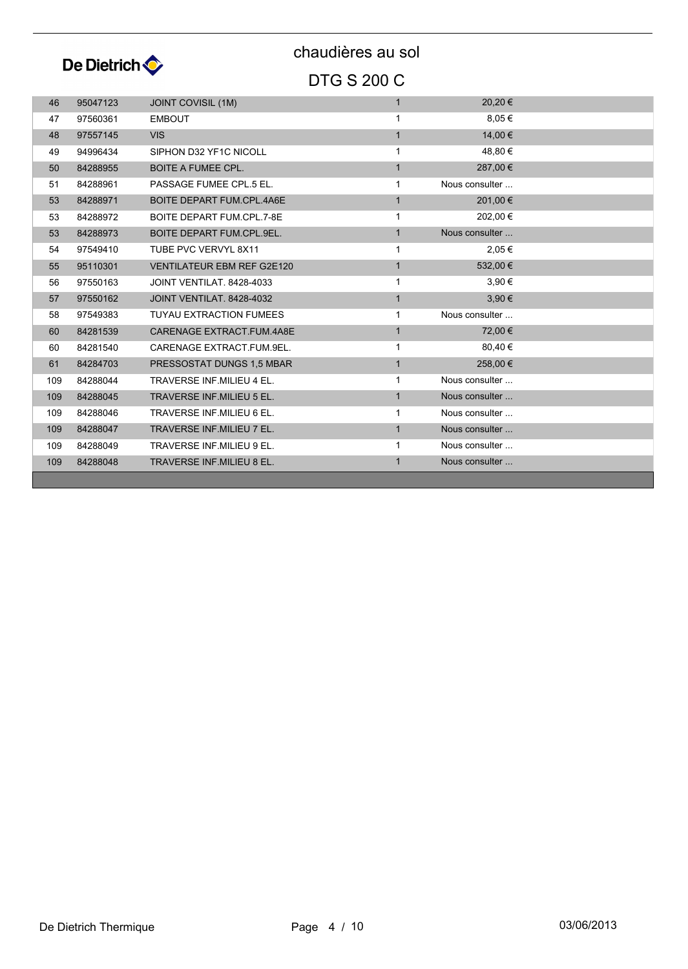

| 46  | 95047123 | <b>JOINT COVISIL (1M)</b>         | $\mathbf{1}$ | 20,20€         |  |
|-----|----------|-----------------------------------|--------------|----------------|--|
| 47  | 97560361 | <b>EMBOUT</b>                     | $\mathbf{1}$ | 8,05€          |  |
| 48  | 97557145 | <b>VIS</b>                        | $\mathbf{1}$ | 14,00 €        |  |
| 49  | 94996434 | SIPHON D32 YF1C NICOLL            | $\mathbf{1}$ | 48,80 €        |  |
| 50  | 84288955 | <b>BOITE A FUMEE CPL.</b>         | $\mathbf{1}$ | 287,00 €       |  |
| 51  | 84288961 | PASSAGE FUMEE CPL.5 EL.           | $\mathbf{1}$ | Nous consulter |  |
| 53  | 84288971 | BOITE DEPART FUM.CPL.4A6E         | $\mathbf{1}$ | 201,00 €       |  |
| 53  | 84288972 | BOITE DEPART FUM.CPL.7-8E         | 1            | 202,00 €       |  |
| 53  | 84288973 | BOITE DEPART FUM.CPL.9EL.         | $\mathbf{1}$ | Nous consulter |  |
| 54  | 97549410 | TUBE PVC VERVYL 8X11              | $\mathbf{1}$ | 2,05 €         |  |
| 55  | 95110301 | <b>VENTILATEUR EBM REF G2E120</b> | $\mathbf{1}$ | 532,00 €       |  |
| 56  | 97550163 | JOINT VENTILAT, 8428-4033         | $\mathbf{1}$ | 3,90 €         |  |
| 57  | 97550162 | JOINT VENTILAT, 8428-4032         | $\mathbf{1}$ | 3,90€          |  |
| 58  | 97549383 | <b>TUYAU EXTRACTION FUMEES</b>    | $\mathbf{1}$ | Nous consulter |  |
| 60  | 84281539 | CARENAGE EXTRACT FUM 4A8E         | $\mathbf{1}$ | 72,00 €        |  |
| 60  | 84281540 | CARENAGE EXTRACT.FUM.9EL.         | $\mathbf{1}$ | 80,40 €        |  |
| 61  | 84284703 | PRESSOSTAT DUNGS 1,5 MBAR         | $\mathbf{1}$ | 258,00 €       |  |
| 109 | 84288044 | <b>TRAVERSE INF.MILIEU 4 EL.</b>  | 1            | Nous consulter |  |
| 109 | 84288045 | <b>TRAVERSE INF.MILIEU 5 EL.</b>  | $\mathbf{1}$ | Nous consulter |  |
| 109 | 84288046 | <b>TRAVERSE INF.MILIEU 6 EL.</b>  | $\mathbf{1}$ | Nous consulter |  |
| 109 | 84288047 | <b>TRAVERSE INF.MILIEU 7 EL.</b>  | $\mathbf{1}$ | Nous consulter |  |
| 109 | 84288049 | TRAVERSE INF.MILIEU 9 EL.         | $\mathbf{1}$ | Nous consulter |  |
| 109 | 84288048 | <b>TRAVERSE INF.MILIEU 8 EL.</b>  | $\mathbf{1}$ | Nous consulter |  |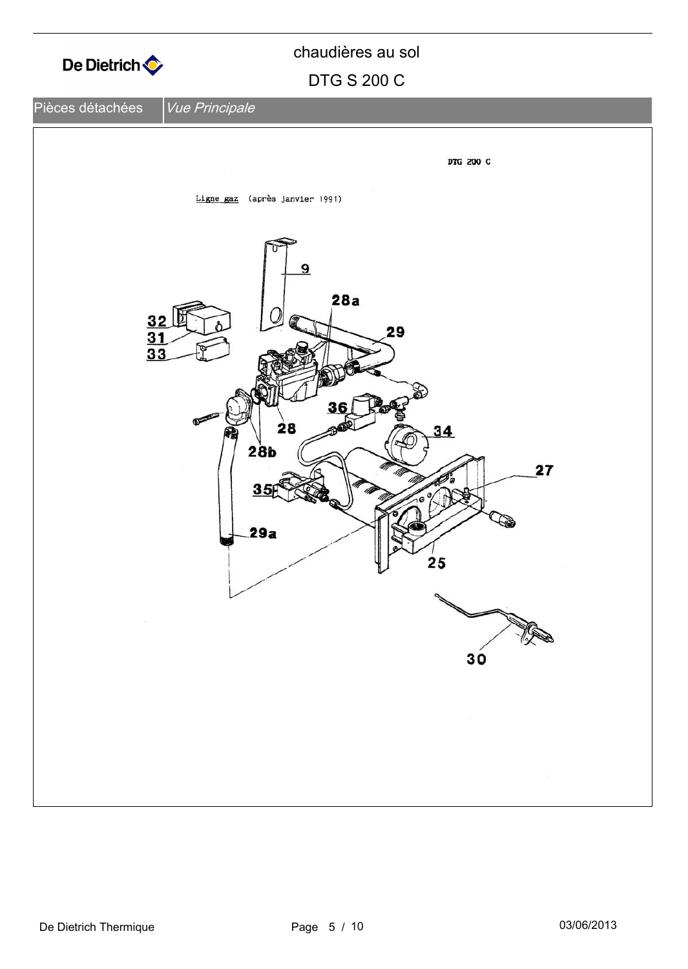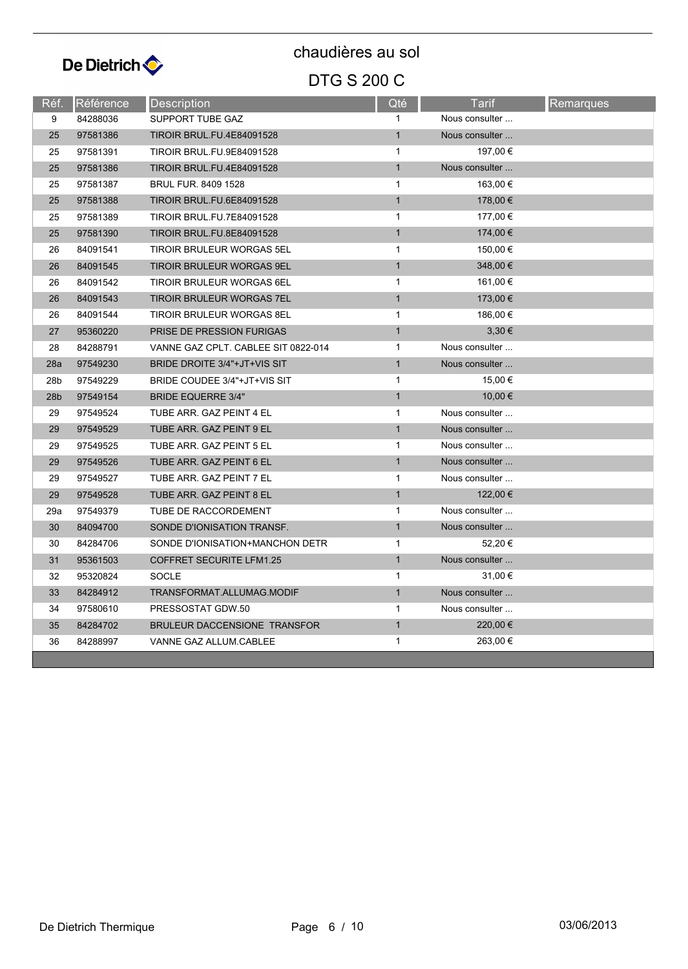

| Réf.            | Référence | Description                         | Qté          | <b>Tarif</b>   | Remarques |
|-----------------|-----------|-------------------------------------|--------------|----------------|-----------|
| 9               | 84288036  | <b>SUPPORT TUBE GAZ</b>             |              | Nous consulter |           |
| 25              | 97581386  | <b>TIROIR BRUL.FU.4E84091528</b>    | $\mathbf{1}$ | Nous consulter |           |
| 25              | 97581391  | <b>TIROIR BRUL.FU.9E84091528</b>    | $\mathbf{1}$ | 197,00 €       |           |
| 25              | 97581386  | <b>TIROIR BRUL.FU.4E84091528</b>    | $\mathbf{1}$ | Nous consulter |           |
| 25              | 97581387  | <b>BRUL FUR. 8409 1528</b>          | $\mathbf{1}$ | 163,00 €       |           |
| 25              | 97581388  | <b>TIROIR BRUL.FU.6E84091528</b>    | $\mathbf{1}$ | 178,00 €       |           |
| 25              | 97581389  | TIROIR BRUL.FU.7E84091528           | $\mathbf{1}$ | 177,00 €       |           |
| 25              | 97581390  | <b>TIROIR BRUL.FU.8E84091528</b>    | $\mathbf{1}$ | 174,00 €       |           |
| 26              | 84091541  | <b>TIROIR BRULEUR WORGAS 5EL</b>    | $\mathbf{1}$ | 150,00 €       |           |
| 26              | 84091545  | TIROIR BRULEUR WORGAS 9EL           | $\mathbf{1}$ | 348,00 €       |           |
| 26              | 84091542  | <b>TIROIR BRULEUR WORGAS 6EL</b>    | $\mathbf{1}$ | 161,00 €       |           |
| 26              | 84091543  | <b>TIROIR BRULEUR WORGAS 7EL</b>    | $\mathbf{1}$ | 173,00 €       |           |
| 26              | 84091544  | <b>TIROIR BRULEUR WORGAS 8EL</b>    | $\mathbf{1}$ | 186,00 €       |           |
| 27              | 95360220  | <b>PRISE DE PRESSION FURIGAS</b>    | $\mathbf{1}$ | $3,30 \in$     |           |
| 28              | 84288791  | VANNE GAZ CPLT. CABLEE SIT 0822-014 | $\mathbf{1}$ | Nous consulter |           |
| 28a             | 97549230  | BRIDE DROITE 3/4"+JT+VIS SIT        | $\mathbf{1}$ | Nous consulter |           |
| 28b             | 97549229  | BRIDE COUDEE 3/4"+JT+VIS SIT        | $\mathbf{1}$ | 15,00 €        |           |
| 28 <sub>b</sub> | 97549154  | <b>BRIDE EQUERRE 3/4"</b>           | $\mathbf{1}$ | 10,00 €        |           |
| 29              | 97549524  | TUBE ARR. GAZ PEINT 4 EL            | $\mathbf{1}$ | Nous consulter |           |
| 29              | 97549529  | TUBE ARR. GAZ PEINT 9 EL            | $\mathbf{1}$ | Nous consulter |           |
| 29              | 97549525  | TUBE ARR. GAZ PEINT 5 EL            | $\mathbf{1}$ | Nous consulter |           |
| 29              | 97549526  | TUBE ARR. GAZ PEINT 6 EL            | $\mathbf{1}$ | Nous consulter |           |
| 29              | 97549527  | TUBE ARR. GAZ PEINT 7 EL            | $\mathbf{1}$ | Nous consulter |           |
| 29              | 97549528  | TUBE ARR. GAZ PEINT 8 EL            | $\mathbf{1}$ | 122,00 €       |           |
| 29a             | 97549379  | TUBE DE RACCORDEMENT                | $\mathbf{1}$ | Nous consulter |           |
| 30              | 84094700  | SONDE D'IONISATION TRANSF.          | $\mathbf{1}$ | Nous consulter |           |
| 30              | 84284706  | SONDE D'IONISATION+MANCHON DETR     | $\mathbf{1}$ | 52,20€         |           |
| 31              | 95361503  | <b>COFFRET SECURITE LFM1.25</b>     | $\mathbf{1}$ | Nous consulter |           |
| 32              | 95320824  | <b>SOCLE</b>                        | $\mathbf{1}$ | 31,00 €        |           |
| 33              | 84284912  | TRANSFORMAT.ALLUMAG.MODIF           | $\mathbf{1}$ | Nous consulter |           |
| 34              | 97580610  | PRESSOSTAT GDW.50                   | $\mathbf{1}$ | Nous consulter |           |
| 35              | 84284702  | BRULEUR DACCENSIONE TRANSFOR        | $\mathbf{1}$ | 220,00 €       |           |
| 36              | 84288997  | VANNE GAZ ALLUM.CABLEE              | $\mathbf{1}$ | 263,00 €       |           |
|                 |           |                                     |              |                |           |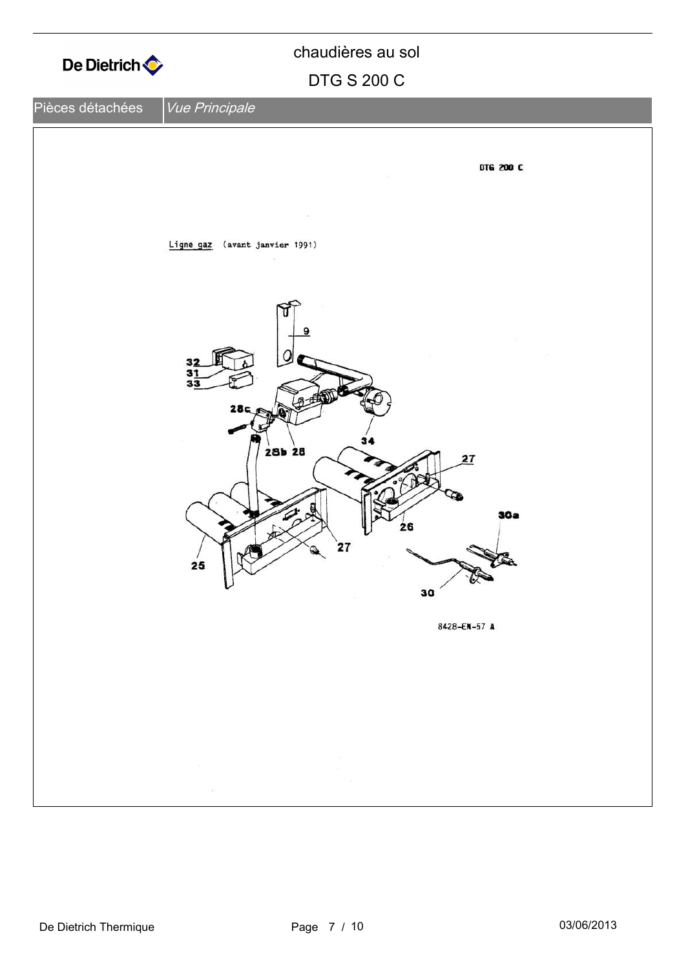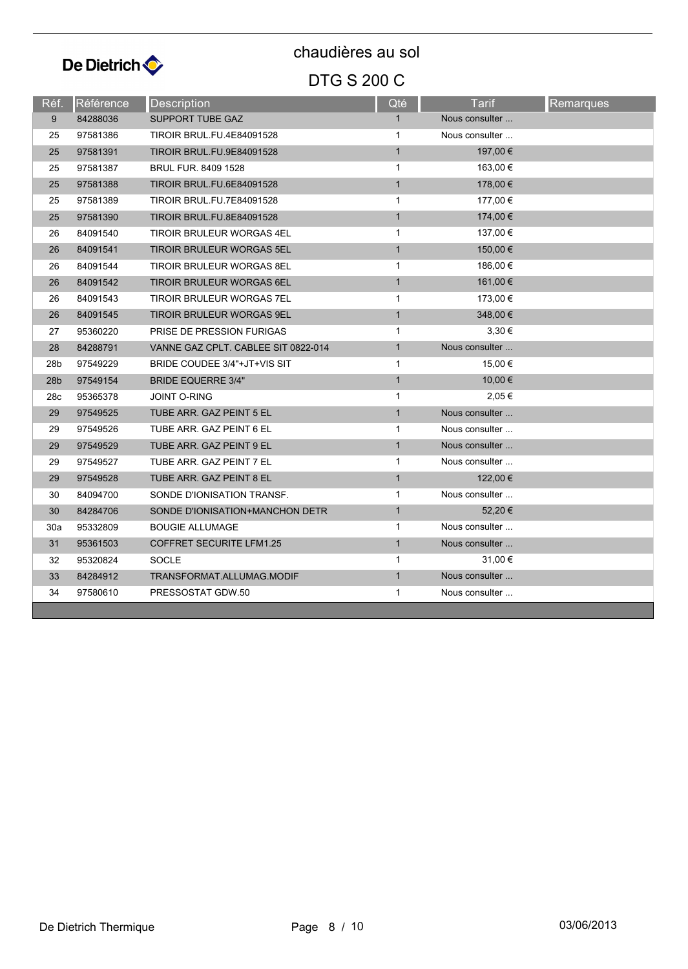

| Réf.            | <b>Référence</b> | <b>Description</b>                  | Qté          | Tarif          | <b>Remarques</b> |
|-----------------|------------------|-------------------------------------|--------------|----------------|------------------|
| 9               | 84288036         | <b>SUPPORT TUBE GAZ</b>             | $\mathbf{1}$ | Nous consulter |                  |
| 25              | 97581386         | <b>TIROIR BRUL.FU.4E84091528</b>    | 1            | Nous consulter |                  |
| 25              | 97581391         | <b>TIROIR BRUL.FU.9E84091528</b>    | $\mathbf{1}$ | 197,00 €       |                  |
| 25              | 97581387         | <b>BRUL FUR. 8409 1528</b>          | $\mathbf{1}$ | 163,00 €       |                  |
| 25              | 97581388         | <b>TIROIR BRUL.FU.6E84091528</b>    | $\mathbf{1}$ | 178,00 €       |                  |
| 25              | 97581389         | <b>TIROIR BRUL.FU.7E84091528</b>    | $\mathbf 1$  | 177,00 €       |                  |
| 25              | 97581390         | TIROIR BRUL.FU.8E84091528           | $\mathbf{1}$ | 174,00 €       |                  |
| 26              | 84091540         | <b>TIROIR BRULEUR WORGAS 4EL</b>    | $\mathbf{1}$ | 137,00 €       |                  |
| 26              | 84091541         | TIROIR BRULEUR WORGAS 5EL           | $\mathbf{1}$ | 150,00 €       |                  |
| 26              | 84091544         | <b>TIROIR BRULEUR WORGAS 8EL</b>    | 1            | 186,00 €       |                  |
| 26              | 84091542         | TIROIR BRULEUR WORGAS 6EL           | $\mathbf{1}$ | 161,00 €       |                  |
| 26              | 84091543         | TIROIR BRULEUR WORGAS 7EL           | $\mathbf{1}$ | 173,00 €       |                  |
| 26              | 84091545         | TIROIR BRULEUR WORGAS 9EL           | $\mathbf{1}$ | 348,00 €       |                  |
| 27              | 95360220         | PRISE DE PRESSION FURIGAS           | $\mathbf{1}$ | $3,30 \in$     |                  |
| 28              | 84288791         | VANNE GAZ CPLT. CABLEE SIT 0822-014 | $\mathbf{1}$ | Nous consulter |                  |
| 28 <sub>b</sub> | 97549229         | BRIDE COUDEE 3/4"+JT+VIS SIT        | $\mathbf{1}$ | 15,00 €        |                  |
| 28 <sub>b</sub> | 97549154         | <b>BRIDE EQUERRE 3/4"</b>           | $\mathbf{1}$ | 10,00 €        |                  |
| 28c             | 95365378         | <b>JOINT O-RING</b>                 | $\mathbf{1}$ | 2,05 €         |                  |
| 29              | 97549525         | TUBE ARR. GAZ PEINT 5 EL            | $\mathbf{1}$ | Nous consulter |                  |
| 29              | 97549526         | TUBE ARR. GAZ PEINT 6 EL            | 1            | Nous consulter |                  |
| 29              | 97549529         | TUBE ARR. GAZ PEINT 9 EL            | $\mathbf{1}$ | Nous consulter |                  |
| 29              | 97549527         | TUBE ARR. GAZ PEINT 7 EL            | 1            | Nous consulter |                  |
| 29              | 97549528         | TUBE ARR. GAZ PEINT 8 EL            | $\mathbf{1}$ | 122,00 €       |                  |
| 30              | 84094700         | SONDE D'IONISATION TRANSF.          | $\mathbf{1}$ | Nous consulter |                  |
| 30              | 84284706         | SONDE D'IONISATION+MANCHON DETR     | $\mathbf{1}$ | 52,20€         |                  |
| 30a             | 95332809         | <b>BOUGIE ALLUMAGE</b>              | $\mathbf 1$  | Nous consulter |                  |
| 31              | 95361503         | <b>COFFRET SECURITE LFM1.25</b>     | $\mathbf{1}$ | Nous consulter |                  |
| 32              | 95320824         | <b>SOCLE</b>                        | 1            | 31,00 €        |                  |
| 33              | 84284912         | TRANSFORMAT.ALLUMAG.MODIF           | $\mathbf{1}$ | Nous consulter |                  |
| 34              | 97580610         | PRESSOSTAT GDW.50                   | 1            | Nous consulter |                  |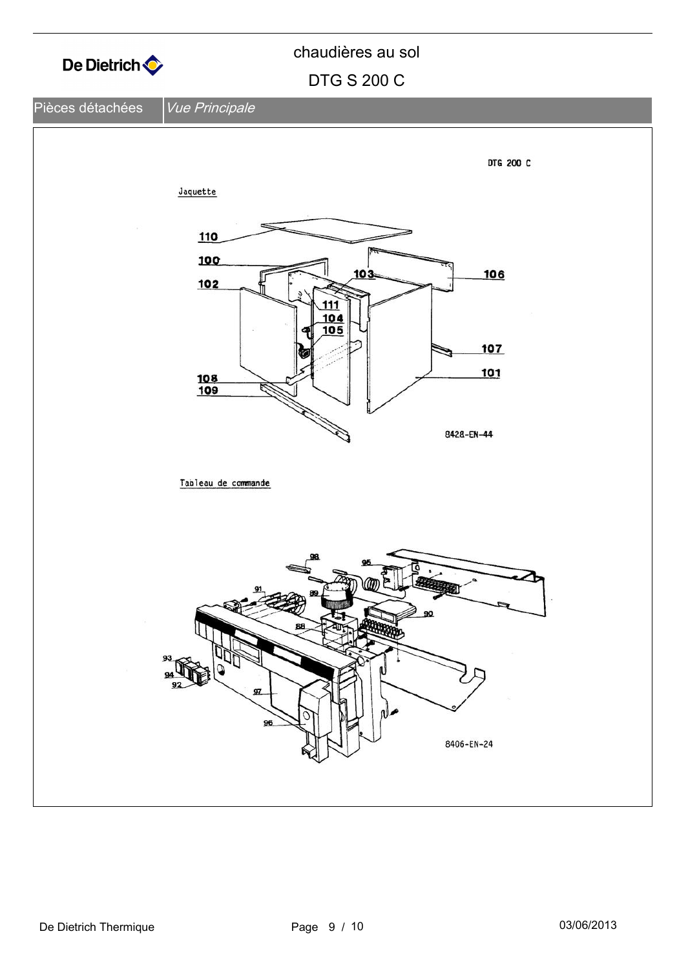